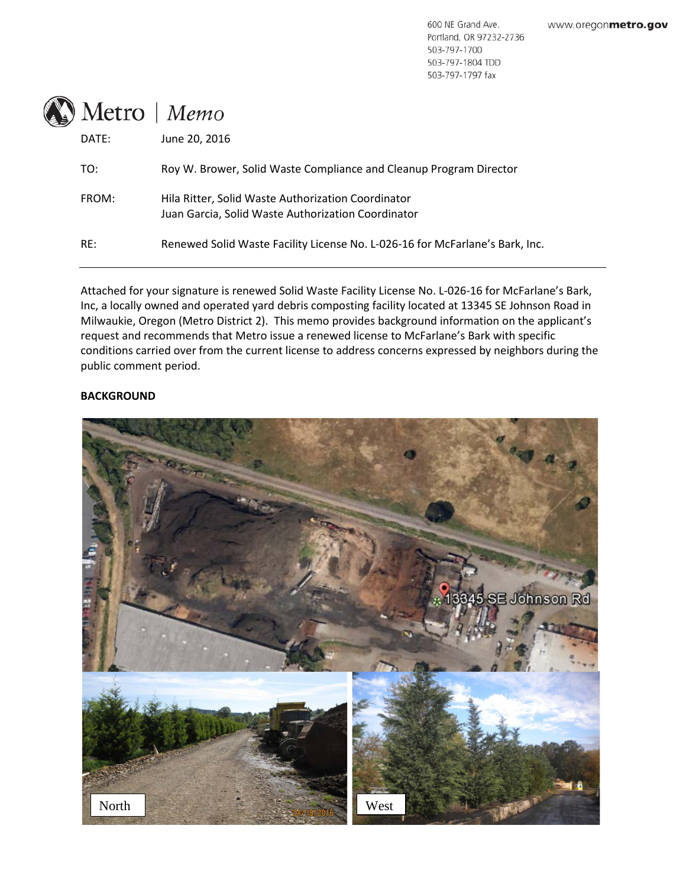600 NE Grand Ave. Portland, OR 97232-2736 503-797-1700 503-797-1804 TDD 503-797-1797 fax



| DATE: | June 20, 2016                                                                                            |
|-------|----------------------------------------------------------------------------------------------------------|
| TO:   | Roy W. Brower, Solid Waste Compliance and Cleanup Program Director                                       |
| FROM: | Hila Ritter, Solid Waste Authorization Coordinator<br>Juan Garcia, Solid Waste Authorization Coordinator |
| RE:   | Renewed Solid Waste Facility License No. L-026-16 for McFarlane's Bark, Inc.                             |
|       |                                                                                                          |

Attached for your signature is renewed Solid Waste Facility License No. L-026-16 for McFarlane's Bark, Inc, a locally owned and operated yard debris composting facility located at 13345 SE Johnson Road in Milwaukie, Oregon (Metro District 2). This memo provides background information on the applicant's request and recommends that Metro issue a renewed license to McFarlane's Bark with specific conditions carried over from the current license to address concerns expressed by neighbors during the public comment period.

## **BACKGROUND**

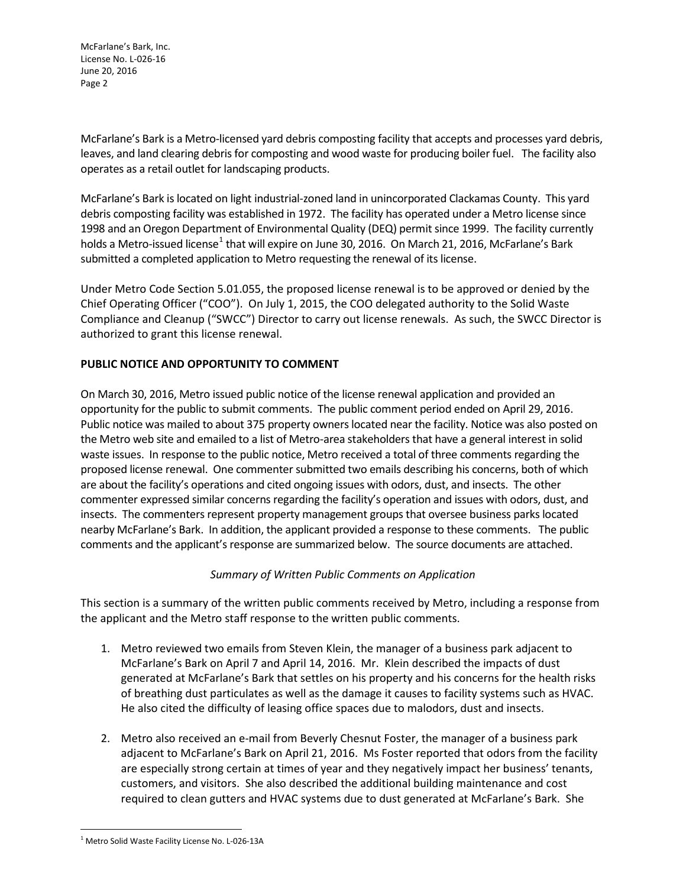McFarlane's Bark, Inc. License No. L-026-16 June 20, 2016 Page 2

McFarlane's Bark is a Metro-licensed yard debris composting facility that accepts and processes yard debris, leaves, and land clearing debris for composting and wood waste for producing boiler fuel. The facility also operates as a retail outlet for landscaping products.

McFarlane's Bark is located on light industrial-zoned land in unincorporated Clackamas County. This yard debris composting facility was established in 1972. The facility has operated under a Metro license since 1998 and an Oregon Department of Environmental Quality (DEQ) permit since 1999. The facility currently holds a Metro-issued license<sup>[1](#page-1-0)</sup> that will expire on June 30, 2016. On March 21, 2016, McFarlane's Bark submitted a completed application to Metro requesting the renewal of its license.

Under Metro Code Section 5.01.055, the proposed license renewal is to be approved or denied by the Chief Operating Officer ("COO"). On July 1, 2015, the COO delegated authority to the Solid Waste Compliance and Cleanup ("SWCC") Director to carry out license renewals. As such, the SWCC Director is authorized to grant this license renewal.

# **PUBLIC NOTICE AND OPPORTUNITY TO COMMENT**

On March 30, 2016, Metro issued public notice of the license renewal application and provided an opportunity for the public to submit comments. The public comment period ended on April 29, 2016. Public notice was mailed to about 375 property owners located near the facility. Notice was also posted on the Metro web site and emailed to a list of Metro-area stakeholders that have a general interest in solid waste issues. In response to the public notice, Metro received a total of three comments regarding the proposed license renewal. One commenter submitted two emails describing his concerns, both of which are about the facility's operations and cited ongoing issues with odors, dust, and insects. The other commenter expressed similar concerns regarding the facility's operation and issues with odors, dust, and insects. The commenters represent property management groups that oversee business parks located nearby McFarlane's Bark. In addition, the applicant provided a response to these comments. The public comments and the applicant's response are summarized below. The source documents are attached.

## *Summary of Written Public Comments on Application*

This section is a summary of the written public comments received by Metro, including a response from the applicant and the Metro staff response to the written public comments.

- 1. Metro reviewed two emails from Steven Klein, the manager of a business park adjacent to McFarlane's Bark on April 7 and April 14, 2016. Mr. Klein described the impacts of dust generated at McFarlane's Bark that settles on his property and his concerns for the health risks of breathing dust particulates as well as the damage it causes to facility systems such as HVAC. He also cited the difficulty of leasing office spaces due to malodors, dust and insects.
- 2. Metro also received an e-mail from Beverly Chesnut Foster, the manager of a business park adjacent to McFarlane's Bark on April 21, 2016. Ms Foster reported that odors from the facility are especially strong certain at times of year and they negatively impact her business' tenants, customers, and visitors. She also described the additional building maintenance and cost required to clean gutters and HVAC systems due to dust generated at McFarlane's Bark. She

<span id="page-1-0"></span><sup>&</sup>lt;sup>1</sup> Metro Solid Waste Facility License No. L-026-13A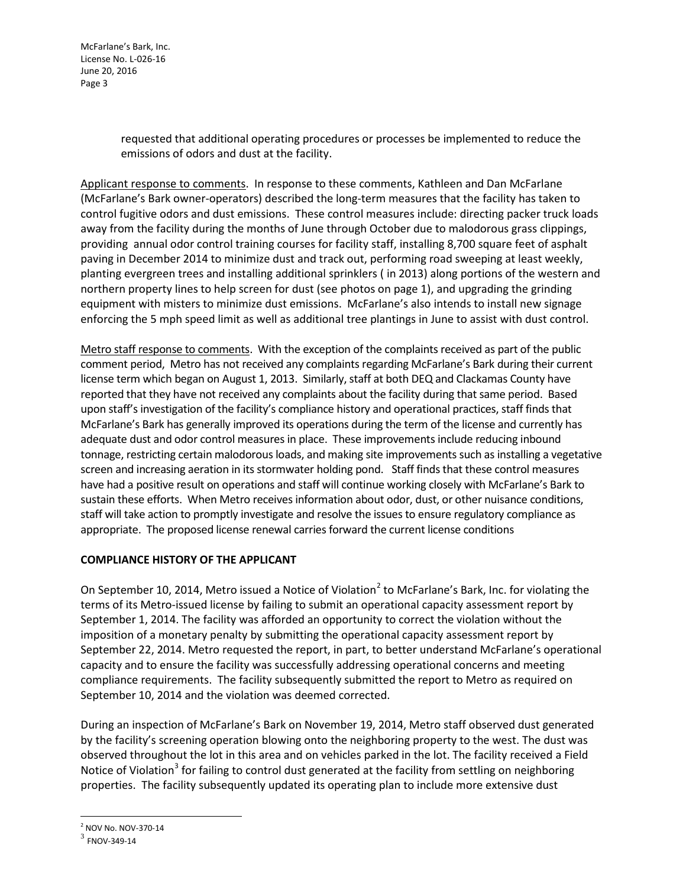McFarlane's Bark, Inc. License No. L-026-16 June 20, 2016 Page 3

> requested that additional operating procedures or processes be implemented to reduce the emissions of odors and dust at the facility.

Applicant response to comments. In response to these comments, Kathleen and Dan McFarlane (McFarlane's Bark owner-operators) described the long-term measures that the facility has taken to control fugitive odors and dust emissions. These control measures include: directing packer truck loads away from the facility during the months of June through October due to malodorous grass clippings, providing annual odor control training courses for facility staff, installing 8,700 square feet of asphalt paving in December 2014 to minimize dust and track out, performing road sweeping at least weekly, planting evergreen trees and installing additional sprinklers ( in 2013) along portions of the western and northern property lines to help screen for dust (see photos on page 1), and upgrading the grinding equipment with misters to minimize dust emissions. McFarlane's also intends to install new signage enforcing the 5 mph speed limit as well as additional tree plantings in June to assist with dust control.

Metro staff response to comments. With the exception of the complaints received as part of the public comment period, Metro has not received any complaints regarding McFarlane's Bark during their current license term which began on August 1, 2013. Similarly, staff at both DEQ and Clackamas County have reported that they have not received any complaints about the facility during that same period. Based upon staff's investigation of the facility's compliance history and operational practices, staff finds that McFarlane's Bark has generally improved its operations during the term of the license and currently has adequate dust and odor control measures in place. These improvements include reducing inbound tonnage, restricting certain malodorous loads, and making site improvements such as installing a vegetative screen and increasing aeration in its stormwater holding pond. Staff finds that these control measures have had a positive result on operations and staff will continue working closely with McFarlane's Bark to sustain these efforts. When Metro receives information about odor, dust, or other nuisance conditions, staff will take action to promptly investigate and resolve the issues to ensure regulatory compliance as appropriate. The proposed license renewal carries forward the current license conditions

## **COMPLIANCE HISTORY OF THE APPLICANT**

On September 10, [2](#page-2-0)014, Metro issued a Notice of Violation<sup>2</sup> to McFarlane's Bark, Inc. for violating the terms of its Metro-issued license by failing to submit an operational capacity assessment report by September 1, 2014. The facility was afforded an opportunity to correct the violation without the imposition of a monetary penalty by submitting the operational capacity assessment report by September 22, 2014. Metro requested the report, in part, to better understand McFarlane's operational capacity and to ensure the facility was successfully addressing operational concerns and meeting compliance requirements. The facility subsequently submitted the report to Metro as required on September 10, 2014 and the violation was deemed corrected.

During an inspection of McFarlane's Bark on November 19, 2014, Metro staff observed dust generated by the facility's screening operation blowing onto the neighboring property to the west. The dust was observed throughout the lot in this area and on vehicles parked in the lot. The facility received a Field Notice of Violation<sup>[3](#page-2-1)</sup> for failing to control dust generated at the facility from settling on neighboring properties. The facility subsequently updated its operating plan to include more extensive dust

<span id="page-2-1"></span><span id="page-2-0"></span> $\frac{2}{3}$  NOV No. NOV-370-14<br> $\frac{3}{3}$  FNOV-349-14